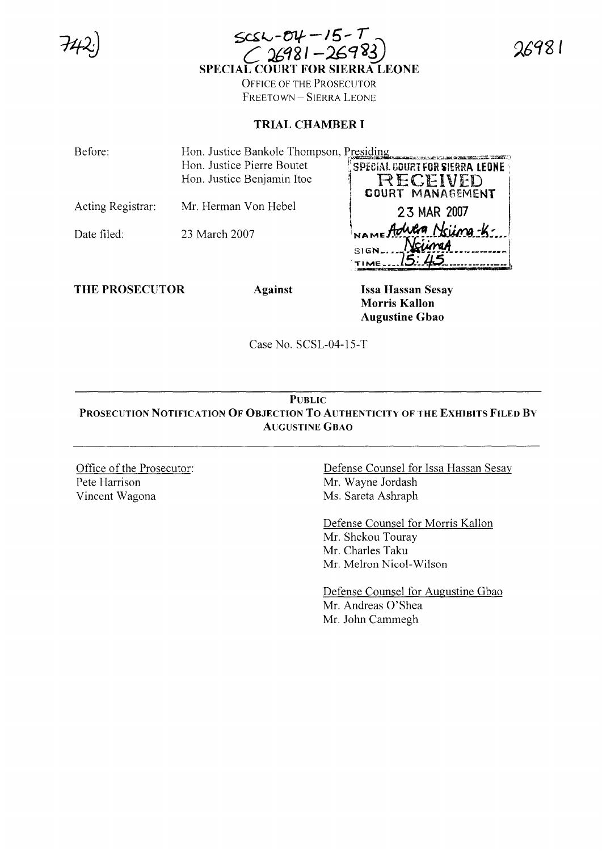| $SCS = 04 - 15 - 7$<br>C 26981 - 26983)<br>SPECIAL COURT FOR SIERRA LEONE |
|---------------------------------------------------------------------------|
|                                                                           |
| <b>OFFICE OF THE PROSECUTOR</b>                                           |
|                                                                           |

FREETOWN-SIERRA LEONE

## **TRIAL CHAMBER I**

Before: Hon. Justice Bankole Thompson, Presiding Hon. Justice Pierre Boutet SPECIAL COURT FOR SIERRA LEONE Hon. Justice Benjamin Itoe RECEIVED COURT MANAGEMENT Acting Registrar: Mr. Herman Von Hebel 23 MAR 2007 - Adula Nsiina-K-Date filed: 23 March 2007 NciineA **SIGN** TIME.

**THE PROSECUTOR** 

**Against** 

**Issa Hassan Sesay Morris Kallon Augustine Gbao** 

Case No. SCSL-04-15-T

## **PUBLIC** PROSECUTION NOTIFICATION OF OBJECTION TO AUTHENTICITY OF THE EXHIBITS FILED BY **AUGUSTINE GBAO**

Office of the Prosecutor: Pete Harrison Vincent Wagona

Defense Counsel for Issa Hassan Sesay Mr. Wayne Jordash Ms. Sareta Ashraph

Defense Counsel for Morris Kallon Mr. Shekou Touray Mr. Charles Taku Mr. Melron Nicol-Wilson

Defense Counsel for Augustine Gbao Mr. Andreas O'Shea Mr. John Cammegh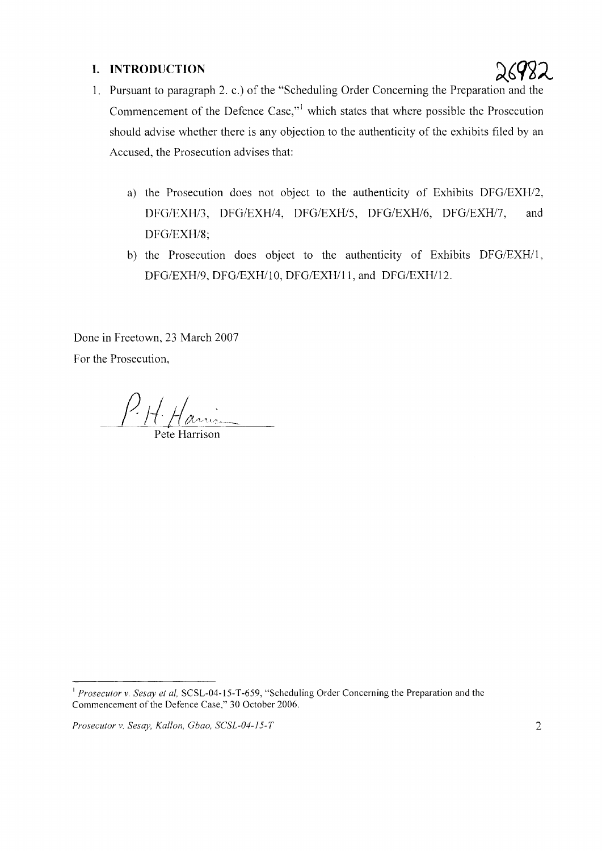## **I. INTRODUCTION**



- 1. Pursuant to paragraph 2. c.) of the "Scheduling Order Concerning the Preparation and the Commencement of the Defence Case,"] which states that where possible the Prosecution should advise whether there is any objection to the authenticity of the exhibits filed by an Accused, the Prosecution advises that:
	- a) the Prosecution does not object to the authenticity of Exhibits *DFG/EXH/2, DFG/EXH/3, DFG/EXH/4, DFG/EXH/S, DFG/EXH/6, DFG/EXH17,* and *DFG/EXH/8;*
	- b) the Prosecution does object to the authenticity of Exhibits *DFG/EXHIl, DFG/EXH/9, DFG/EXHIlO, DFG/EXHlll,* and *DFG/EXHIl2.*

Done in Freetown, 23 March 2007 For the Prosecution,

Pete Harrison

*Prosecutor* v. *Sesay, Kallon, Cbao, SCSL-04-/5-T* 2

<sup>I</sup> *Prosecutor* v. *Sesay et aI,* SCSL-04-15-T-659, "Scheduling Order Concerning the Preparation and the Commencement of the Defence Case," 30 October 2006.